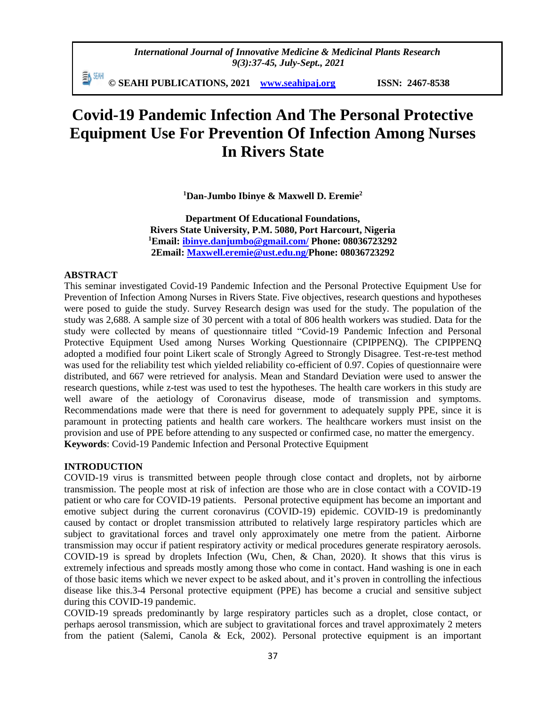*International Journal of Innovative Medicine & Medicinal Plants Research 9(3):37-45, July-Sept., 2021*

≣γ æн **© SEAHI PUBLICATIONS, 2021 [www.seahipaj.org](http://www.seahipaj.org/) ISSN: 2467-8538**

# **Covid-19 Pandemic Infection And The Personal Protective Equipment Use For Prevention Of Infection Among Nurses In Rivers State**

**<sup>1</sup>Dan-Jumbo Ibinye & Maxwell D. Eremie<sup>2</sup>**

**Department Of Educational Foundations, Rivers State University, P.M. 5080, Port Harcourt, Nigeria <sup>1</sup>Email: [ibinye.danjumbo@gmail.com/](mailto:ibinye.danjumbo@gmail.com/) Phone: 08036723292 2Email: [Maxwell.eremie@ust.edu.ng/](mailto:Maxwell.eremie@ust.edu.ng)Phone: 08036723292**

# **ABSTRACT**

This seminar investigated Covid-19 Pandemic Infection and the Personal Protective Equipment Use for Prevention of Infection Among Nurses in Rivers State. Five objectives, research questions and hypotheses were posed to guide the study. Survey Research design was used for the study. The population of the study was 2,688. A sample size of 30 percent with a total of 806 health workers was studied. Data for the study were collected by means of questionnaire titled "Covid-19 Pandemic Infection and Personal Protective Equipment Used among Nurses Working Questionnaire (CPIPPENQ). The CPIPPENQ adopted a modified four point Likert scale of Strongly Agreed to Strongly Disagree. Test-re-test method was used for the reliability test which yielded reliability co-efficient of 0.97. Copies of questionnaire were distributed, and 667 were retrieved for analysis. Mean and Standard Deviation were used to answer the research questions, while z-test was used to test the hypotheses. The health care workers in this study are well aware of the aetiology of Coronavirus disease, mode of transmission and symptoms. Recommendations made were that there is need for government to adequately supply PPE, since it is paramount in protecting patients and health care workers. The healthcare workers must insist on the provision and use of PPE before attending to any suspected or confirmed case, no matter the emergency. **Keywords**: Covid-19 Pandemic Infection and Personal Protective Equipment

#### **INTRODUCTION**

COVID-19 virus is transmitted between people through close contact and droplets, not by airborne transmission. The people most at risk of infection are those who are in close contact with a COVID-19 patient or who care for COVID-19 patients. Personal protective equipment has become an important and emotive subject during the current coronavirus (COVID-19) epidemic. COVID-19 is predominantly caused by contact or droplet transmission attributed to relatively large respiratory particles which are subject to gravitational forces and travel only approximately one metre from the patient. Airborne transmission may occur if patient respiratory activity or medical procedures generate respiratory aerosols. COVID-19 is spread by droplets Infection (Wu, Chen, & Chan, 2020). It shows that this virus is extremely infectious and spreads mostly among those who come in contact. Hand washing is one in each of those basic items which we never expect to be asked about, and it's proven in controlling the infectious disease like this.3-4 Personal protective equipment (PPE) has become a crucial and sensitive subject during this COVID-19 pandemic.

COVID-19 spreads predominantly by large respiratory particles such as a droplet, close contact, or perhaps aerosol transmission, which are subject to gravitational forces and travel approximately 2 meters from the patient (Salemi, Canola & Eck, 2002). Personal protective equipment is an important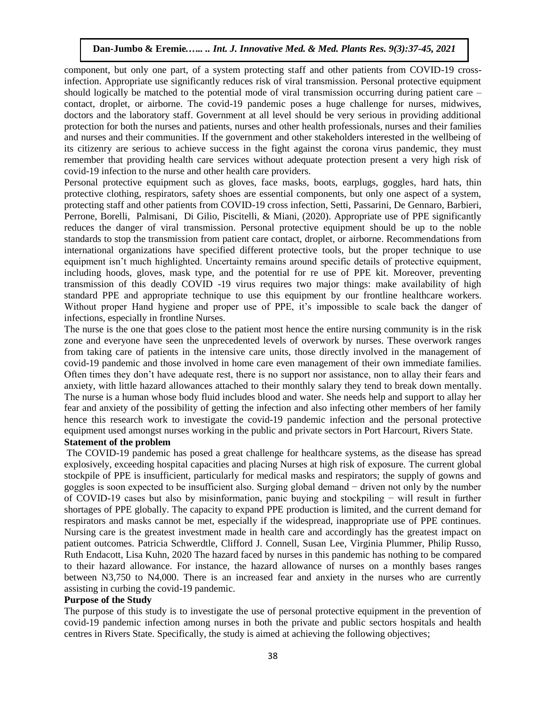component, but only one part, of a system protecting staff and other patients from COVID-19 crossinfection. Appropriate use significantly reduces risk of viral transmission. Personal protective equipment should logically be matched to the potential mode of viral transmission occurring during patient care – contact, droplet, or airborne. The covid-19 pandemic poses a huge challenge for nurses, midwives, doctors and the laboratory staff. Government at all level should be very serious in providing additional protection for both the nurses and patients, nurses and other health professionals, nurses and their families and nurses and their communities. If the government and other stakeholders interested in the wellbeing of its citizenry are serious to achieve success in the fight against the corona virus pandemic, they must remember that providing health care services without adequate protection present a very high risk of covid-19 infection to the nurse and other health care providers.

Personal protective equipment such as gloves, face masks, boots, earplugs, goggles, hard hats, thin protective clothing, respirators, safety shoes are essential components, but only one aspect of a system, protecting staff and other patients from COVID-19 cross infection, Setti, Passarini, De Gennaro, Barbieri, Perrone, Borelli, Palmisani, Di Gilio, Piscitelli, & Miani, (2020). Appropriate use of PPE significantly reduces the danger of viral transmission. Personal protective equipment should be up to the noble standards to stop the transmission from patient care contact, droplet, or airborne. Recommendations from international organizations have specified different protective tools, but the proper technique to use equipment isn't much highlighted. Uncertainty remains around specific details of protective equipment, including hoods, gloves, mask type, and the potential for re use of PPE kit. Moreover, preventing transmission of this deadly COVID -19 virus requires two major things: make availability of high standard PPE and appropriate technique to use this equipment by our frontline healthcare workers. Without proper Hand hygiene and proper use of PPE, it's impossible to scale back the danger of infections, especially in frontline Nurses.

The nurse is the one that goes close to the patient most hence the entire nursing community is in the risk zone and everyone have seen the unprecedented levels of overwork by nurses. These overwork ranges from taking care of patients in the intensive care units, those directly involved in the management of covid-19 pandemic and those involved in home care even management of their own immediate families. Often times they don't have adequate rest, there is no support nor assistance, non to allay their fears and anxiety, with little hazard allowances attached to their monthly salary they tend to break down mentally. The nurse is a human whose body fluid includes blood and water. She needs help and support to allay her fear and anxiety of the possibility of getting the infection and also infecting other members of her family hence this research work to investigate the covid-19 pandemic infection and the personal protective equipment used amongst nurses working in the public and private sectors in Port Harcourt, Rivers State.

# **Statement of the problem**

The COVID-19 pandemic has posed a great challenge for healthcare systems, as the disease has spread explosively, exceeding hospital capacities and placing Nurses at high risk of exposure. The current global stockpile of PPE is insufficient, particularly for medical masks and respirators; the supply of gowns and goggles is soon expected to be insufficient also. Surging global demand − driven not only by the number of COVID-19 cases but also by misinformation, panic buying and stockpiling − will result in further shortages of PPE globally. The capacity to expand PPE production is limited, and the current demand for respirators and masks cannot be met, especially if the widespread, inappropriate use of PPE continues. Nursing care is the greatest investment made in health care and accordingly has the greatest impact on patient outcomes. Patricia Schwerdtle, Clifford J. Connell, Susan Lee, Virginia Plummer, Philip Russo, Ruth Endacott, Lisa Kuhn, 2020 The hazard faced by nurses in this pandemic has nothing to be compared to their hazard allowance. For instance, the hazard allowance of nurses on a monthly bases ranges between N3,750 to N4,000. There is an increased fear and anxiety in the nurses who are currently assisting in curbing the covid-19 pandemic.

# **Purpose of the Study**

The purpose of this study is to investigate the use of personal protective equipment in the prevention of covid-19 pandemic infection among nurses in both the private and public sectors hospitals and health centres in Rivers State. Specifically, the study is aimed at achieving the following objectives;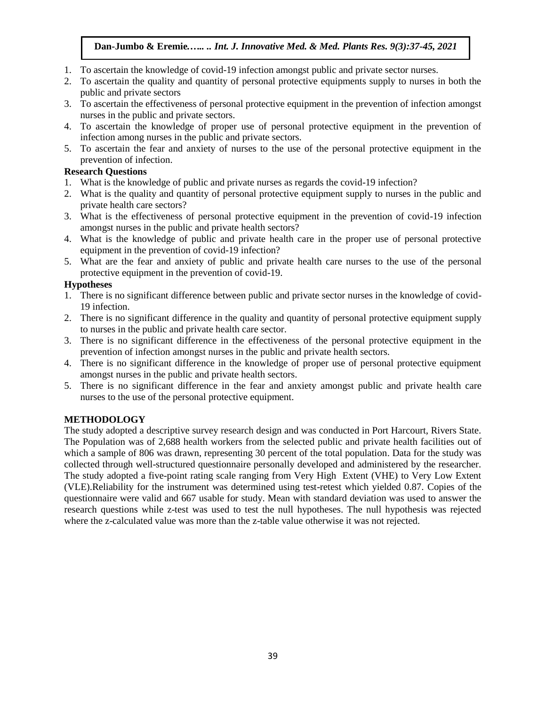- 1. To ascertain the knowledge of covid-19 infection amongst public and private sector nurses.
- 2. To ascertain the quality and quantity of personal protective equipments supply to nurses in both the public and private sectors
- 3. To ascertain the effectiveness of personal protective equipment in the prevention of infection amongst nurses in the public and private sectors.
- 4. To ascertain the knowledge of proper use of personal protective equipment in the prevention of infection among nurses in the public and private sectors.
- 5. To ascertain the fear and anxiety of nurses to the use of the personal protective equipment in the prevention of infection.

# **Research Questions**

- 1. What is the knowledge of public and private nurses as regards the covid-19 infection?
- 2. What is the quality and quantity of personal protective equipment supply to nurses in the public and private health care sectors?
- 3. What is the effectiveness of personal protective equipment in the prevention of covid-19 infection amongst nurses in the public and private health sectors?
- 4. What is the knowledge of public and private health care in the proper use of personal protective equipment in the prevention of covid-19 infection?
- 5. What are the fear and anxiety of public and private health care nurses to the use of the personal protective equipment in the prevention of covid-19.

# **Hypotheses**

- 1. There is no significant difference between public and private sector nurses in the knowledge of covid-19 infection.
- 2. There is no significant difference in the quality and quantity of personal protective equipment supply to nurses in the public and private health care sector.
- 3. There is no significant difference in the effectiveness of the personal protective equipment in the prevention of infection amongst nurses in the public and private health sectors.
- 4. There is no significant difference in the knowledge of proper use of personal protective equipment amongst nurses in the public and private health sectors.
- 5. There is no significant difference in the fear and anxiety amongst public and private health care nurses to the use of the personal protective equipment.

# **METHODOLOGY**

The study adopted a descriptive survey research design and was conducted in Port Harcourt, Rivers State. The Population was of 2,688 health workers from the selected public and private health facilities out of which a sample of 806 was drawn, representing 30 percent of the total population. Data for the study was collected through well-structured questionnaire personally developed and administered by the researcher. The study adopted a five-point rating scale ranging from Very High Extent (VHE) to Very Low Extent (VLE).Reliability for the instrument was determined using test-retest which yielded 0.87. Copies of the questionnaire were valid and 667 usable for study. Mean with standard deviation was used to answer the research questions while z-test was used to test the null hypotheses. The null hypothesis was rejected where the z-calculated value was more than the z-table value otherwise it was not rejected.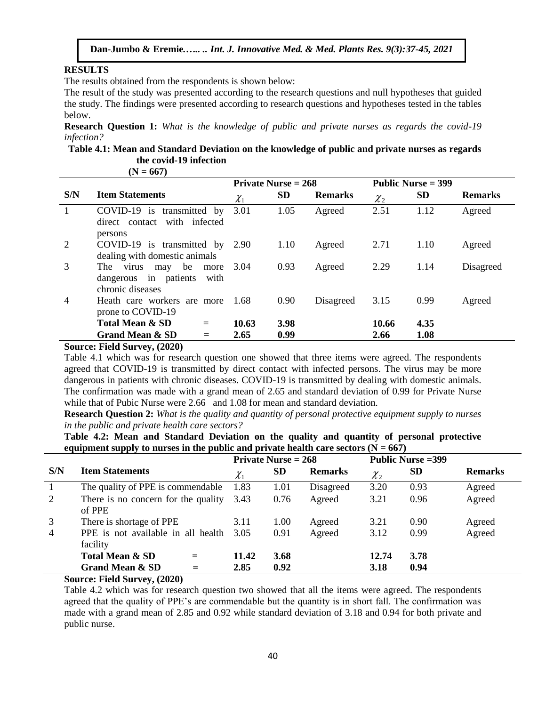# **RESULTS**

The results obtained from the respondents is shown below:

The result of the study was presented according to the research questions and null hypotheses that guided the study. The findings were presented according to research questions and hypotheses tested in the tables below.

**Research Question 1:** *What is the knowledge of public and private nurses as regards the covid-19 infection?*

# **Table 4.1: Mean and Standard Deviation on the knowledge of public and private nurses as regards the covid-19 infection**

**(N = 667)**

|              |                                                                                     |            | Private Nurse $= 268$ |                |                   | Public Nurse = 399 |                |  |
|--------------|-------------------------------------------------------------------------------------|------------|-----------------------|----------------|-------------------|--------------------|----------------|--|
| S/N          | <b>Item Statements</b>                                                              | $\chi_{1}$ | <b>SD</b>             | <b>Remarks</b> | ${\mathcal{X}}_2$ | <b>SD</b>          | <b>Remarks</b> |  |
| $\mathbf{1}$ | COVID-19 is transmitted by<br>direct contact with infected<br>persons               | 3.01       | 1.05                  | Agreed         | 2.51              | 1.12               | Agreed         |  |
| 2            | COVID-19 is transmitted by 2.90<br>dealing with domestic animals                    |            | 1.10                  | Agreed         | 2.71              | 1.10               | Agreed         |  |
| 3            | may be<br>The<br>virus<br>more<br>dangerous in patients<br>with<br>chronic diseases | 3.04       | 0.93                  | Agreed         | 2.29              | 1.14               | Disagreed      |  |
| 4            | Heath care workers are more<br>prone to COVID-19                                    | -1.68      | 0.90                  | Disagreed      | 3.15              | 0.99               | Agreed         |  |
|              | <b>Total Mean &amp; SD</b><br>$=$                                                   | 10.63      | 3.98                  |                | 10.66             | 4.35               |                |  |
|              | Grand Mean & SD<br>$=$                                                              | 2.65       | 0.99                  |                | 2.66              | 1.08               |                |  |
|              | Course Field Curvey (2020)                                                          |            |                       |                |                   |                    |                |  |

**Source: Field Survey, (2020)**

Table 4.1 which was for research question one showed that three items were agreed. The respondents agreed that COVID-19 is transmitted by direct contact with infected persons. The virus may be more dangerous in patients with chronic diseases. COVID-19 is transmitted by dealing with domestic animals. The confirmation was made with a grand mean of 2.65 and standard deviation of 0.99 for Private Nurse while that of Pubic Nurse were 2.66 and 1.08 for mean and standard deviation.

**Research Question 2:** *What is the quality and quantity of personal protective equipment supply to nurses in the public and private health care sectors?*

**Table 4.2: Mean and Standard Deviation on the quality and quantity of personal protective**  equipment supply to nurses in the public and private health care sectors  $(N = 667)$ 

|     |                                                |            | <b>Private Nurse = 268</b> |                |             | <b>Public Nurse = 399</b> |                |
|-----|------------------------------------------------|------------|----------------------------|----------------|-------------|---------------------------|----------------|
| S/N | <b>Item Statements</b>                         | $\chi_{1}$ | <b>SD</b>                  | <b>Remarks</b> | $\chi_{_2}$ | <b>SD</b>                 | <b>Remarks</b> |
|     | The quality of PPE is commendable              | 1.83       | 1.01                       | Disagreed      | 3.20        | 0.93                      | Agreed         |
| 2   | There is no concern for the quality<br>of PPE  | 3.43       | 0.76                       | Agreed         | 3.21        | 0.96                      | Agreed         |
|     | There is shortage of PPE                       | 3.11       | 1.00                       | Agreed         | 3.21        | 0.90                      | Agreed         |
| 4   | PPE is not available in all health<br>facility | 3.05       | 0.91                       | Agreed         | 3.12        | 0.99                      | Agreed         |
|     | <b>Total Mean &amp; SD</b><br>$=$              | 11.42      | 3.68                       |                | 12.74       | 3.78                      |                |
|     | <b>Grand Mean &amp; SD</b><br>$=$              | 2.85       | 0.92                       |                | 3.18        | 0.94                      |                |

#### **Source: Field Survey, (2020)**

Table 4.2 which was for research question two showed that all the items were agreed. The respondents agreed that the quality of PPE's are commendable but the quantity is in short fall. The confirmation was made with a grand mean of 2.85 and 0.92 while standard deviation of 3.18 and 0.94 for both private and public nurse.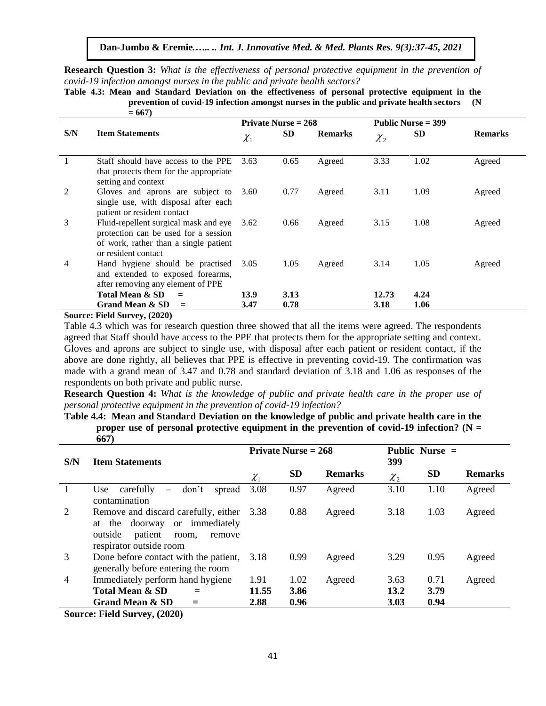**Research Question 3:** *What is the effectiveness of personal protective equipment in the prevention of covid-19 infection amongst nurses in the public and private health sectors?*

**Table 4.3: Mean and Standard Deviation on the effectiveness of personal protective equipment in the prevention of covid-19 infection amongst nurses in the public and private health sectors (N = 667)**

|                |                                                                                                                                               |            | <b>Private Nurse = 268</b> |                |            | Public Nurse $=$ 399 |                |  |  |
|----------------|-----------------------------------------------------------------------------------------------------------------------------------------------|------------|----------------------------|----------------|------------|----------------------|----------------|--|--|
| S/N            | <b>Item Statements</b>                                                                                                                        | $\chi_{1}$ | SD.                        | <b>Remarks</b> | $\chi_{2}$ | SD.                  | <b>Remarks</b> |  |  |
|                | Staff should have access to the PPE<br>that protects them for the appropriate<br>setting and context                                          | 3.63       | 0.65                       | Agreed         | 3.33       | 1.02                 | Agreed         |  |  |
| $\overline{2}$ | Gloves and aprons are subject to<br>single use, with disposal after each<br>patient or resident contact                                       | 3.60       | 0.77                       | Agreed         | 3.11       | 1.09                 | Agreed         |  |  |
| 3              | Fluid-repellent surgical mask and eye<br>protection can be used for a session<br>of work, rather than a single patient<br>or resident contact | 3.62       | 0.66                       | Agreed         | 3.15       | 1.08                 | Agreed         |  |  |
| 4              | Hand hygiene should be practised<br>and extended to exposed forearms,<br>after removing any element of PPE                                    | 3.05       | 1.05                       | Agreed         | 3.14       | 1.05                 | Agreed         |  |  |
|                | Total Mean & SD<br>$=$                                                                                                                        | 13.9       | 3.13                       |                | 12.73      | 4.24                 |                |  |  |
|                | <b>Grand Mean &amp; SD</b>                                                                                                                    | 3.47       | 0.78                       |                | 3.18       | 1.06                 |                |  |  |

**Source: Field Survey, (2020)**

Table 4.3 which was for research question three showed that all the items were agreed. The respondents agreed that Staff should have access to the PPE that protects them for the appropriate setting and context. Gloves and aprons are subject to single use, with disposal after each patient or resident contact, if the above are done rightly, all believes that PPE is effective in preventing covid-19. The confirmation was made with a grand mean of 3.47 and 0.78 and standard deviation of 3.18 and 1.06 as responses of the respondents on both private and public nurse.

**Research Question 4:** *What is the knowledge of public and private health care in the proper use of personal protective equipment in the prevention of covid-19 infection?*

**Table 4.4: Mean and Standard Deviation on the knowledge of public and private health care in the proper use of personal protective equipment in the prevention of covid-19 infection? (N = 667)**

| S/N | <b>Item Statements</b>                                                                                                                            |             | Private Nurse $= 268$ |                | 399               | Public Nurse = |                |  |
|-----|---------------------------------------------------------------------------------------------------------------------------------------------------|-------------|-----------------------|----------------|-------------------|----------------|----------------|--|
|     |                                                                                                                                                   | $\chi_{_1}$ | <b>SD</b>             | <b>Remarks</b> | ${\mathcal{X}}_2$ | <b>SD</b>      | <b>Remarks</b> |  |
|     | carefully<br>don't<br>Use<br>spread<br>$\overline{\phantom{m}}$<br>contamination                                                                  | 3.08        | 0.97                  | Agreed         | 3.10              | 1.10           | Agreed         |  |
| 2   | Remove and discard carefully, either 3.38<br>or immediately<br>at the doorway<br>outside<br>patient<br>room,<br>remove<br>respirator outside room |             | 0.88                  | Agreed         | 3.18              | 1.03           | Agreed         |  |
| 3   | Done before contact with the patient,<br>generally before entering the room                                                                       | 3.18        | 0.99                  | Agreed         | 3.29              | 0.95           | Agreed         |  |
| 4   | Immediately perform hand hygiene                                                                                                                  | 1.91        | 1.02                  | Agreed         | 3.63              | 0.71           | Agreed         |  |
|     | <b>Total Mean &amp; SD</b><br>$=$                                                                                                                 | 11.55       | 3.86                  |                | 13.2              | 3.79           |                |  |
|     | <b>Grand Mean &amp; SD</b><br>$=$                                                                                                                 | 2.88        | 0.96                  |                | 3.03              | 0.94           |                |  |

**Source: Field Survey, (2020)**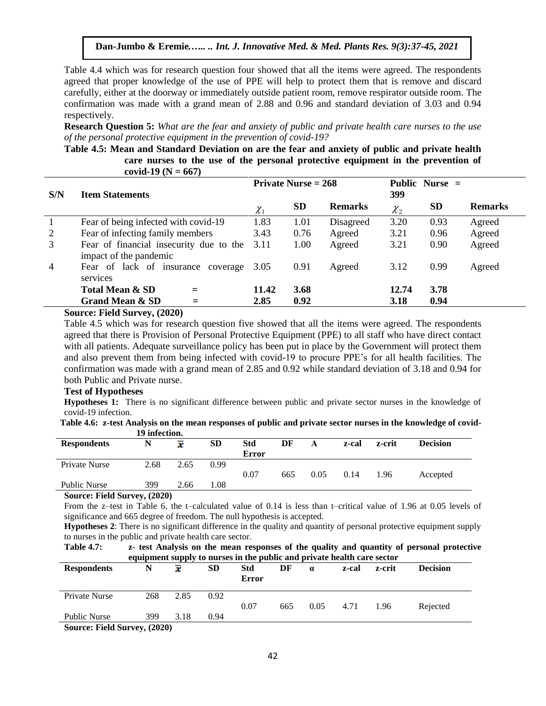Table 4.4 which was for research question four showed that all the items were agreed. The respondents agreed that proper knowledge of the use of PPE will help to protect them that is remove and discard carefully, either at the doorway or immediately outside patient room, remove respirator outside room. The confirmation was made with a grand mean of 2.88 and 0.96 and standard deviation of 3.03 and 0.94 respectively.

**Research Question 5:** *What are the fear and anxiety of public and private health care nurses to the use of the personal protective equipment in the prevention of covid-19?*

**Table 4.5: Mean and Standard Deviation on are the fear and anxiety of public and private health care nurses to the use of the personal protective equipment in the prevention of covid-19 (N = 667)**

| S/N            | <b>Item Statements</b>                                            | Private Nurse $= 268$         |           |                |            |           |                |
|----------------|-------------------------------------------------------------------|-------------------------------|-----------|----------------|------------|-----------|----------------|
|                |                                                                   | $\chi_{\scriptscriptstyle 1}$ | <b>SD</b> | <b>Remarks</b> | $\chi_{2}$ | <b>SD</b> | <b>Remarks</b> |
|                | Fear of being infected with covid-19                              | 1.83                          | 1.01      | Disagreed      | 3.20       | 0.93      | Agreed         |
| 2              | Fear of infecting family members                                  | 3.43                          | 0.76      | Agreed         | 3.21       | 0.96      | Agreed         |
| 3              | Fear of financial insecurity due to the<br>impact of the pandemic | 3.11                          | 1.00      | Agreed         | 3.21       | 0.90      | Agreed         |
| $\overline{4}$ | Fear of lack of insurance coverage<br>services                    | 3.05                          | 0.91      | Agreed         | 3.12       | 0.99      | Agreed         |
|                | Total Mean & SD                                                   | 11.42                         | 3.68      |                | 12.74      | 3.78      |                |
|                | <b>Grand Mean &amp; SD</b>                                        | 2.85                          | 0.92      |                | 3.18       | 0.94      |                |

#### **Source: Field Survey, (2020)**

Table 4.5 which was for research question five showed that all the items were agreed. The respondents agreed that there is Provision of Personal Protective Equipment (PPE) to all staff who have direct contact with all patients. Adequate surveillance policy has been put in place by the Government will protect them and also prevent them from being infected with covid-19 to procure PPE's for all health facilities. The confirmation was made with a grand mean of 2.85 and 0.92 while standard deviation of 3.18 and 0.94 for both Public and Private nurse.

### **Test of Hypotheses**

**Hypotheses 1:** There is no significant difference between public and private sector nurses in the knowledge of covid-19 infection.

**Table 4.6: z-test Analysis on the mean responses of public and private sector nurses in the knowledge of covid-19 infection.**

| <b>Respondents</b>  | N                                  | x    | <b>SD</b> | <b>Std</b>   | DF  | A    | z-cal | z-crit | <b>Decision</b> |  |
|---------------------|------------------------------------|------|-----------|--------------|-----|------|-------|--------|-----------------|--|
|                     |                                    |      |           | <b>Error</b> |     |      |       |        |                 |  |
| Private Nurse       | 2.68                               | 2.65 | 0.99      |              |     |      |       |        |                 |  |
|                     |                                    |      |           | 0.07         | 665 | 0.05 | 0.14  | 1.96   | Accepted        |  |
| <b>Public Nurse</b> | 399                                | 2.66 | 0.08      |              |     |      |       |        |                 |  |
| $\sim$<br>----      | $\sim$ $\sim$ $\sim$ $\sim$ $\sim$ |      |           |              |     |      |       |        |                 |  |

**Source: Field Survey, (2020)**

From the z–test in Table 6, the t–calculated value of 0.14 is less than t–critical value of 1.96 at 0.05 levels of significance and 665 degree of freedom. The null hypothesis is accepted.

**Hypotheses 2**: There is no significant difference in the quality and quantity of personal protective equipment supply to nurses in the public and private health care sector.

**Table 4.7: z- test Analysis on the mean responses of the quality and quantity of personal protective equipment supply to nurses in the public and private health care sector**

|                        |         | 7 I T J |           |                     |     |          |       |        |                 |  |
|------------------------|---------|---------|-----------|---------------------|-----|----------|-------|--------|-----------------|--|
| <b>Respondents</b>     | N       | x       | <b>SD</b> | Std<br><b>Error</b> | DF  | $\alpha$ | z-cal | z-crit | <b>Decision</b> |  |
| Private Nurse          | 268     | 2.85    | 0.92      | 0.07                | 665 | 0.05     | 4.71  | 1.96   | Rejected        |  |
| <b>Public Nurse</b>    | 399     | 3.18    | 0.94      |                     |     |          |       |        |                 |  |
| <b>THEFT</b><br>$\sim$ | (0.000) |         |           |                     |     |          |       |        |                 |  |

**Source: Field Survey, (2020)**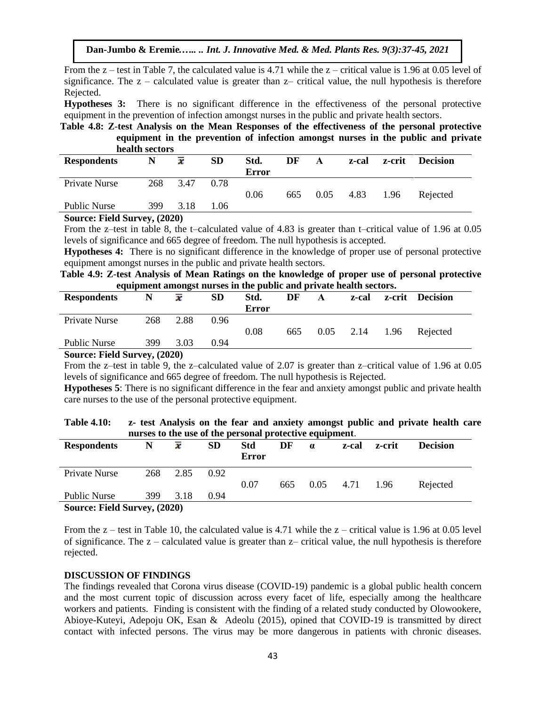From the  $z$  – test in Table 7, the calculated value is 4.71 while the  $z$  – critical value is 1.96 at 0.05 level of significance. The  $z -$  calculated value is greater than  $z -$  critical value, the null hypothesis is therefore Rejected.

**Hypotheses 3:** There is no significant difference in the effectiveness of the personal protective equipment in the prevention of infection amongst nurses in the public and private health sectors.

**Table 4.8: Z**-**test Analysis on the Mean Responses of the effectiveness of the personal protective equipment in the prevention of infection amongst nurses in the public and private health sectors**

|                                             | --------------- |                     |           |                      |     |      |       |        |          |
|---------------------------------------------|-----------------|---------------------|-----------|----------------------|-----|------|-------|--------|----------|
| <b>Respondents</b>                          | N               | $\overline{\bm{x}}$ | <b>SD</b> | Std.<br><b>Error</b> | DF  | A    | z-cal | z-crit | Decision |
| Private Nurse                               | 268             | 3.47                | 0.78      |                      |     |      |       |        |          |
|                                             |                 |                     |           | 0.06                 | 665 | 0.05 | 4.83  | 1.96   | Rejected |
| <b>Public Nurse</b>                         | 399             | 3.18                | 1.06      |                      |     |      |       |        |          |
| $\alpha$ $\mathbf{E}$ $\mathbf{H}$ $\alpha$ |                 |                     |           |                      |     |      |       |        |          |

**Source: Field Survey, (2020)**

From the z–test in table 8, the t–calculated value of 4.83 is greater than t–critical value of 1.96 at 0.05 levels of significance and 665 degree of freedom. The null hypothesis is accepted.

**Hypotheses 4:** There is no significant difference in the knowledge of proper use of personal protective equipment amongst nurses in the public and private health sectors.

**Table 4.9: Z**-**test Analysis of Mean Ratings on the knowledge of proper use of personal protective equipment amongst nurses in the public and private health sectors.**

|                                                            |     | . .  |           |       |     |      |       |        |                 |
|------------------------------------------------------------|-----|------|-----------|-------|-----|------|-------|--------|-----------------|
| <b>Respondents</b>                                         |     | x    | <b>SD</b> | Std.  | DF  | A    | z-cal | z-crit | <b>Decision</b> |
|                                                            |     |      |           | Error |     |      |       |        |                 |
| Private Nurse                                              | 268 | 2.88 | 0.96      |       |     |      |       |        |                 |
|                                                            |     |      |           | 0.08  | 665 | 0.05 | 2.14  | 1.96   | Rejected        |
| <b>Public Nurse</b>                                        | 399 | 3.03 | 0.94      |       |     |      |       |        |                 |
| $C_{\text{out}}$ $E_{\text{old}}$ $C_{\text{in}}$ $(2020)$ |     |      |           |       |     |      |       |        |                 |

**Source: Field Survey, (2020)**

From the z–test in table 9, the z–calculated value of 2.07 is greater than z–critical value of 1.96 at 0.05 levels of significance and 665 degree of freedom. The null hypothesis is Rejected.

**Hypotheses 5**: There is no significant difference in the fear and anxiety amongst public and private health care nurses to the use of the personal protective equipment.

| <b>Table 4.10:</b> | z- test Analysis on the fear and anxiety amongst public and private health care |
|--------------------|---------------------------------------------------------------------------------|
|                    | nurses to the use of the personal protective equipment.                         |

| <b>Respondents</b>  | N                            | x    | <b>SD</b> | Std          | DF  | $\alpha$ | z-cal | z-crit | <b>Decision</b> |  |  |
|---------------------|------------------------------|------|-----------|--------------|-----|----------|-------|--------|-----------------|--|--|
|                     |                              |      |           | <b>Error</b> |     |          |       |        |                 |  |  |
| Private Nurse       | 268                          | 2.85 | 0.92      |              |     |          |       |        |                 |  |  |
|                     |                              |      |           | 0.07         | 665 | 0.05     | 4.71  | - 1.96 | Rejected        |  |  |
| <b>Public Nurse</b> | 399                          | 3.18 | 0.94      |              |     |          |       |        |                 |  |  |
|                     | Source: Field Survey, (2020) |      |           |              |     |          |       |        |                 |  |  |

From the  $z$  – test in Table 10, the calculated value is 4.71 while the  $z$  – critical value is 1.96 at 0.05 level of significance. The z – calculated value is greater than z– critical value, the null hypothesis is therefore rejected.

#### **DISCUSSION OF FINDINGS**

The findings revealed that Corona virus disease (COVID-19) pandemic is a global public health concern and the most current topic of discussion across every facet of life, especially among the healthcare workers and patients. Finding is consistent with the finding of a related study conducted by Olowookere, Abioye-Kuteyi, Adepoju OK, Esan & Adeolu (2015), opined that COVID-19 is transmitted by direct contact with infected persons. The virus may be more dangerous in patients with chronic diseases.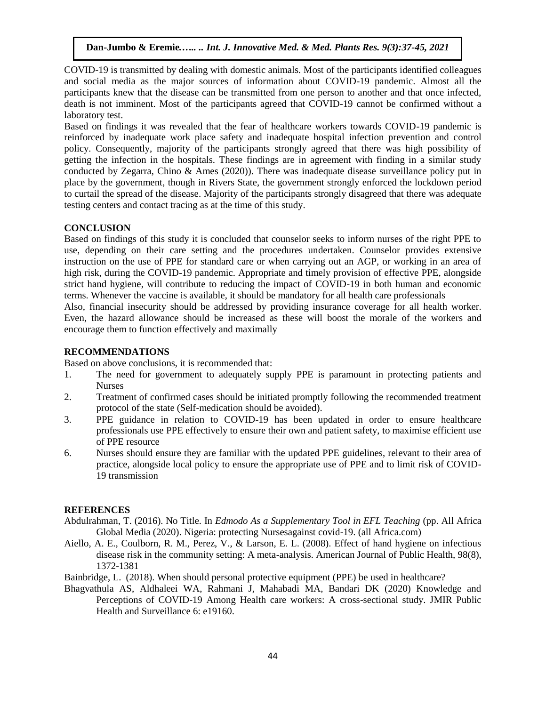COVID-19 is transmitted by dealing with domestic animals. Most of the participants identified colleagues and social media as the major sources of information about COVID-19 pandemic. Almost all the participants knew that the disease can be transmitted from one person to another and that once infected, death is not imminent. Most of the participants agreed that COVID-19 cannot be confirmed without a laboratory test.

Based on findings it was revealed that the fear of healthcare workers towards COVID-19 pandemic is reinforced by inadequate work place safety and inadequate hospital infection prevention and control policy. Consequently, majority of the participants strongly agreed that there was high possibility of getting the infection in the hospitals. These findings are in agreement with finding in a similar study conducted by Zegarra, Chino & Ames (2020)). There was inadequate disease surveillance policy put in place by the government, though in Rivers State, the government strongly enforced the lockdown period to curtail the spread of the disease. Majority of the participants strongly disagreed that there was adequate testing centers and contact tracing as at the time of this study.

# **CONCLUSION**

Based on findings of this study it is concluded that counselor seeks to inform nurses of the right PPE to use, depending on their care setting and the procedures undertaken. Counselor provides extensive instruction on the use of PPE for standard care or when carrying out an AGP, or working in an area of high risk, during the COVID-19 pandemic. Appropriate and timely provision of effective PPE, alongside strict hand hygiene, will contribute to reducing the impact of COVID-19 in both human and economic terms. Whenever the vaccine is available, it should be mandatory for all health care professionals

Also, financial insecurity should be addressed by providing insurance coverage for all health worker. Even, the hazard allowance should be increased as these will boost the morale of the workers and encourage them to function effectively and maximally

# **RECOMMENDATIONS**

Based on above conclusions, it is recommended that:

- 1. The need for government to adequately supply PPE is paramount in protecting patients and Nurses
- 2. Treatment of confirmed cases should be initiated promptly following the recommended treatment protocol of the state (Self-medication should be avoided).
- 3. PPE guidance in relation to COVID-19 has been updated in order to ensure healthcare professionals use PPE effectively to ensure their own and patient safety, to maximise efficient use of PPE resource
- 6. Nurses should ensure they are familiar with the updated PPE guidelines, relevant to their area of practice, alongside local policy to ensure the appropriate use of PPE and to limit risk of COVID-19 transmission

# **REFERENCES**

- Abdulrahman, T. (2016). No Title. In *Edmodo As a Supplementary Tool in EFL Teaching* (pp. All Africa Global Media (2020). Nigeria: protecting Nursesagainst covid-19. (all Africa.com)
- Aiello, A. E., Coulborn, R. M., Perez, V., & Larson, E. L. (2008). Effect of hand hygiene on infectious disease risk in the community setting: A meta-analysis. American Journal of Public Health, 98(8), 1372-1381

Bainbridge, L. (2018). When should personal protective equipment (PPE) be used in healthcare?

Bhagvathula AS, Aldhaleei WA, Rahmani J, Mahabadi MA, Bandari DK (2020) Knowledge and Perceptions of COVID-19 Among Health care workers: A cross-sectional study. JMIR Public Health and Surveillance 6: e19160.